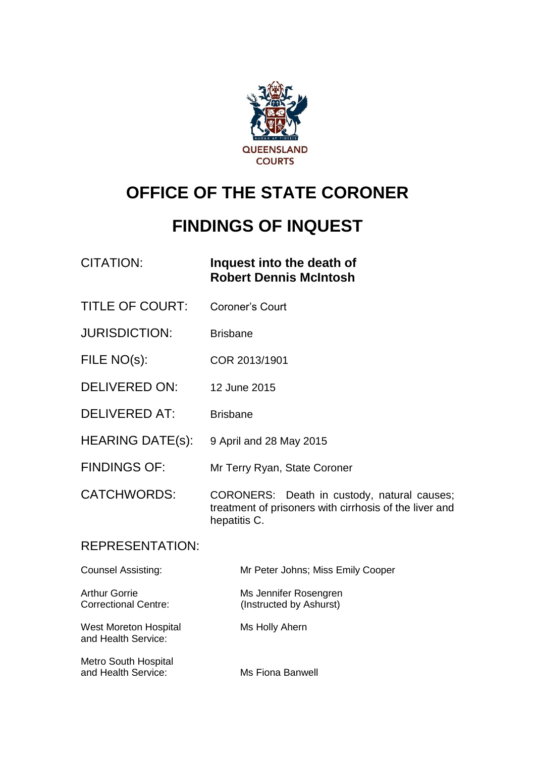

# **OFFICE OF THE STATE CORONER**

# **FINDINGS OF INQUEST**

| CITATION: | Inquest into the death of     |
|-----------|-------------------------------|
|           | <b>Robert Dennis McIntosh</b> |

- TITLE OF COURT: Coroner's Court
- JURISDICTION: Brisbane
- FILE NO(s): COR 2013/1901
- DELIVERED ON: 12 June 2015
- DELIVERED AT: Brisbane
- HEARING DATE(s): 9 April and 28 May 2015
- FINDINGS OF: Mr Terry Ryan, State Coroner
- CATCHWORDS: CORONERS: Death in custody, natural causes; treatment of prisoners with cirrhosis of the liver and hepatitis C.

#### REPRESENTATION:

| <b>Counsel Assisting:</b>                           | Mr Peter Johns; Miss Emily Cooper                |
|-----------------------------------------------------|--------------------------------------------------|
| <b>Arthur Gorrie</b><br><b>Correctional Centre:</b> | Ms Jennifer Rosengren<br>(Instructed by Ashurst) |
| West Moreton Hospital<br>and Health Service:        | Ms Holly Ahern                                   |
| <b>Metro South Hospital</b><br>and Health Service:  | Ms Fiona Banwell                                 |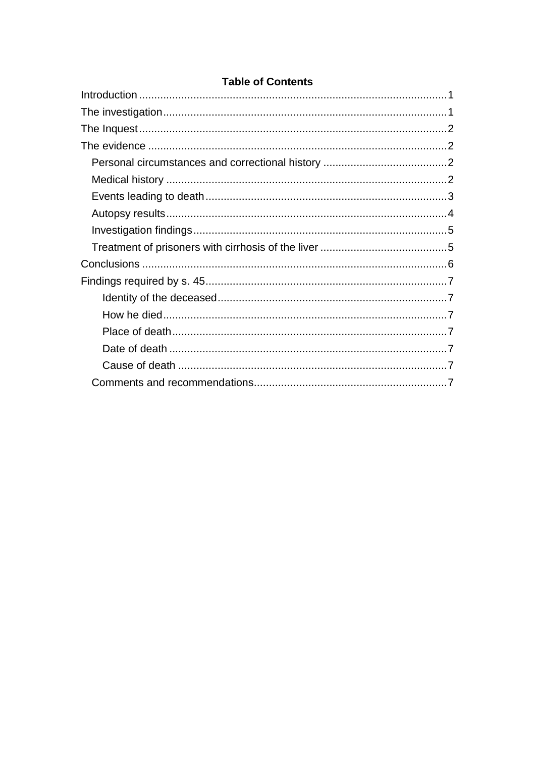#### **Table of Contents**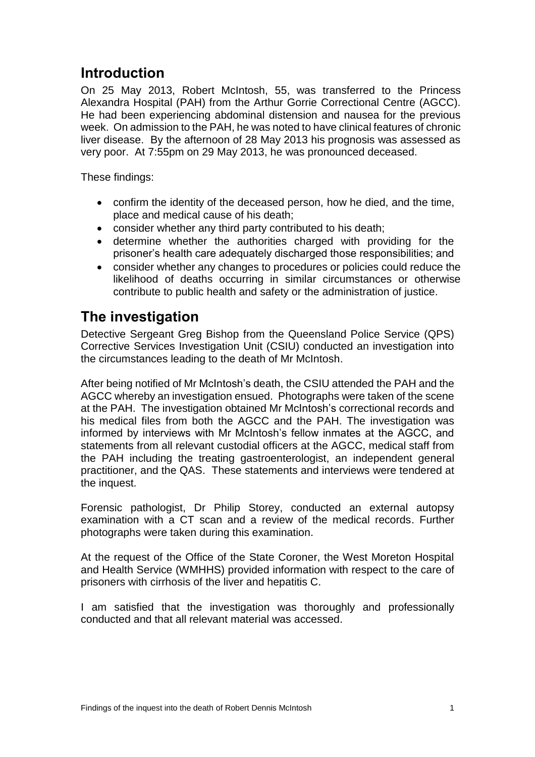## <span id="page-2-0"></span>**Introduction**

On 25 May 2013, Robert McIntosh, 55, was transferred to the Princess Alexandra Hospital (PAH) from the Arthur Gorrie Correctional Centre (AGCC). He had been experiencing abdominal distension and nausea for the previous week. On admission to the PAH, he was noted to have clinical features of chronic liver disease. By the afternoon of 28 May 2013 his prognosis was assessed as very poor. At 7:55pm on 29 May 2013, he was pronounced deceased.

These findings:

- confirm the identity of the deceased person, how he died, and the time, place and medical cause of his death;
- consider whether any third party contributed to his death;
- determine whether the authorities charged with providing for the prisoner's health care adequately discharged those responsibilities; and
- consider whether any changes to procedures or policies could reduce the likelihood of deaths occurring in similar circumstances or otherwise contribute to public health and safety or the administration of justice.

# <span id="page-2-1"></span>**The investigation**

Detective Sergeant Greg Bishop from the Queensland Police Service (QPS) Corrective Services Investigation Unit (CSIU) conducted an investigation into the circumstances leading to the death of Mr McIntosh.

After being notified of Mr McIntosh's death, the CSIU attended the PAH and the AGCC whereby an investigation ensued. Photographs were taken of the scene at the PAH. The investigation obtained Mr McIntosh's correctional records and his medical files from both the AGCC and the PAH. The investigation was informed by interviews with Mr McIntosh's fellow inmates at the AGCC, and statements from all relevant custodial officers at the AGCC, medical staff from the PAH including the treating gastroenterologist, an independent general practitioner, and the QAS. These statements and interviews were tendered at the inquest.

Forensic pathologist, Dr Philip Storey, conducted an external autopsy examination with a CT scan and a review of the medical records. Further photographs were taken during this examination.

At the request of the Office of the State Coroner, the West Moreton Hospital and Health Service (WMHHS) provided information with respect to the care of prisoners with cirrhosis of the liver and hepatitis C.

I am satisfied that the investigation was thoroughly and professionally conducted and that all relevant material was accessed.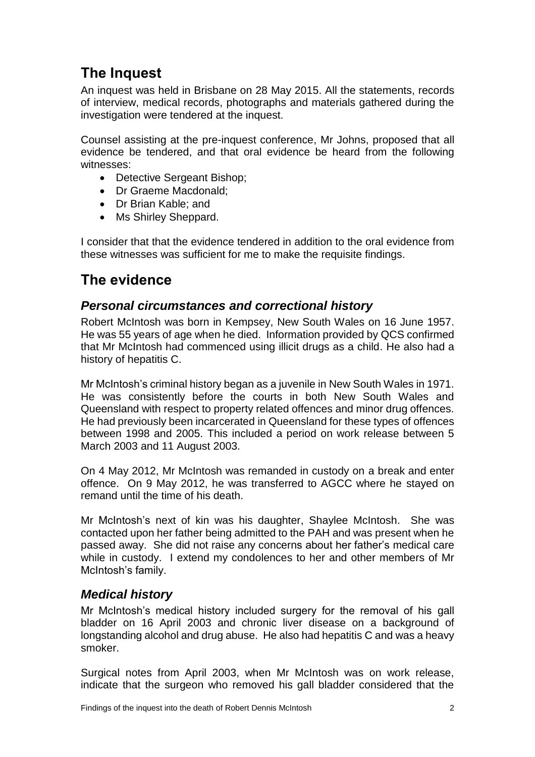# <span id="page-3-0"></span>**The Inquest**

An inquest was held in Brisbane on 28 May 2015. All the statements, records of interview, medical records, photographs and materials gathered during the investigation were tendered at the inquest.

Counsel assisting at the pre-inquest conference, Mr Johns, proposed that all evidence be tendered, and that oral evidence be heard from the following witnesses:

- Detective Sergeant Bishop;
- Dr Graeme Macdonald;
- Dr Brian Kable: and
- Ms Shirley Sheppard.

I consider that that the evidence tendered in addition to the oral evidence from these witnesses was sufficient for me to make the requisite findings.

# <span id="page-3-1"></span>**The evidence**

### <span id="page-3-2"></span>*Personal circumstances and correctional history*

Robert McIntosh was born in Kempsey, New South Wales on 16 June 1957. He was 55 years of age when he died. Information provided by QCS confirmed that Mr McIntosh had commenced using illicit drugs as a child. He also had a history of hepatitis C.

Mr McIntosh's criminal history began as a juvenile in New South Wales in 1971. He was consistently before the courts in both New South Wales and Queensland with respect to property related offences and minor drug offences. He had previously been incarcerated in Queensland for these types of offences between 1998 and 2005. This included a period on work release between 5 March 2003 and 11 August 2003.

On 4 May 2012, Mr McIntosh was remanded in custody on a break and enter offence. On 9 May 2012, he was transferred to AGCC where he stayed on remand until the time of his death.

Mr McIntosh's next of kin was his daughter, Shaylee McIntosh. She was contacted upon her father being admitted to the PAH and was present when he passed away. She did not raise any concerns about her father's medical care while in custody. I extend my condolences to her and other members of Mr McIntosh's family.

### <span id="page-3-3"></span>*Medical history*

Mr McIntosh's medical history included surgery for the removal of his gall bladder on 16 April 2003 and chronic liver disease on a background of longstanding alcohol and drug abuse. He also had hepatitis C and was a heavy smoker.

Surgical notes from April 2003, when Mr McIntosh was on work release, indicate that the surgeon who removed his gall bladder considered that the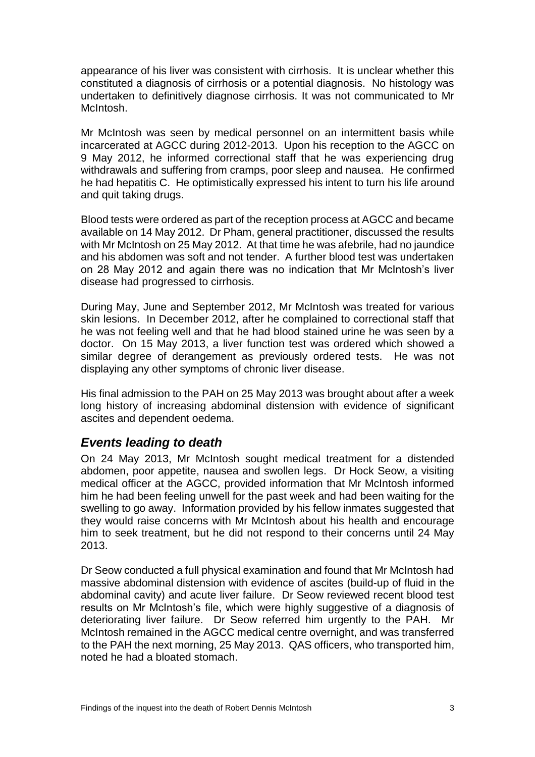appearance of his liver was consistent with cirrhosis. It is unclear whether this constituted a diagnosis of cirrhosis or a potential diagnosis. No histology was undertaken to definitively diagnose cirrhosis. It was not communicated to Mr McIntosh.

Mr McIntosh was seen by medical personnel on an intermittent basis while incarcerated at AGCC during 2012-2013. Upon his reception to the AGCC on 9 May 2012, he informed correctional staff that he was experiencing drug withdrawals and suffering from cramps, poor sleep and nausea. He confirmed he had hepatitis C. He optimistically expressed his intent to turn his life around and quit taking drugs.

Blood tests were ordered as part of the reception process at AGCC and became available on 14 May 2012. Dr Pham, general practitioner, discussed the results with Mr McIntosh on 25 May 2012. At that time he was afebrile, had no jaundice and his abdomen was soft and not tender. A further blood test was undertaken on 28 May 2012 and again there was no indication that Mr McIntosh's liver disease had progressed to cirrhosis.

During May, June and September 2012, Mr McIntosh was treated for various skin lesions. In December 2012, after he complained to correctional staff that he was not feeling well and that he had blood stained urine he was seen by a doctor. On 15 May 2013, a liver function test was ordered which showed a similar degree of derangement as previously ordered tests. He was not displaying any other symptoms of chronic liver disease.

His final admission to the PAH on 25 May 2013 was brought about after a week long history of increasing abdominal distension with evidence of significant ascites and dependent oedema.

### <span id="page-4-0"></span>*Events leading to death*

On 24 May 2013, Mr McIntosh sought medical treatment for a distended abdomen, poor appetite, nausea and swollen legs. Dr Hock Seow, a visiting medical officer at the AGCC, provided information that Mr McIntosh informed him he had been feeling unwell for the past week and had been waiting for the swelling to go away. Information provided by his fellow inmates suggested that they would raise concerns with Mr McIntosh about his health and encourage him to seek treatment, but he did not respond to their concerns until 24 May 2013.

Dr Seow conducted a full physical examination and found that Mr McIntosh had massive abdominal distension with evidence of ascites (build-up of fluid in the abdominal cavity) and acute liver failure. Dr Seow reviewed recent blood test results on Mr McIntosh's file, which were highly suggestive of a diagnosis of deteriorating liver failure. Dr Seow referred him urgently to the PAH. Mr McIntosh remained in the AGCC medical centre overnight, and was transferred to the PAH the next morning, 25 May 2013. QAS officers, who transported him, noted he had a bloated stomach.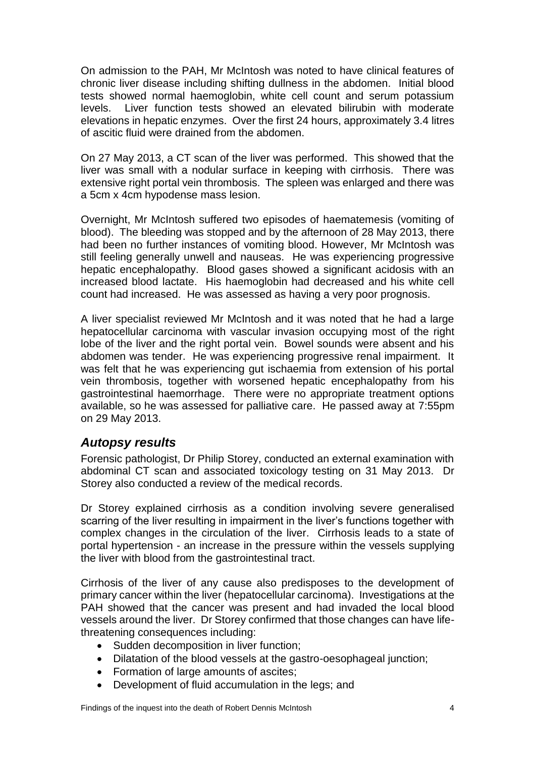On admission to the PAH, Mr McIntosh was noted to have clinical features of chronic liver disease including shifting dullness in the abdomen. Initial blood tests showed normal haemoglobin, white cell count and serum potassium levels. Liver function tests showed an elevated bilirubin with moderate elevations in hepatic enzymes. Over the first 24 hours, approximately 3.4 litres of ascitic fluid were drained from the abdomen.

On 27 May 2013, a CT scan of the liver was performed. This showed that the liver was small with a nodular surface in keeping with cirrhosis. There was extensive right portal vein thrombosis. The spleen was enlarged and there was a 5cm x 4cm hypodense mass lesion.

Overnight, Mr McIntosh suffered two episodes of haematemesis (vomiting of blood). The bleeding was stopped and by the afternoon of 28 May 2013, there had been no further instances of vomiting blood. However, Mr McIntosh was still feeling generally unwell and nauseas. He was experiencing progressive hepatic encephalopathy. Blood gases showed a significant acidosis with an increased blood lactate. His haemoglobin had decreased and his white cell count had increased. He was assessed as having a very poor prognosis.

A liver specialist reviewed Mr McIntosh and it was noted that he had a large hepatocellular carcinoma with vascular invasion occupying most of the right lobe of the liver and the right portal vein. Bowel sounds were absent and his abdomen was tender. He was experiencing progressive renal impairment. It was felt that he was experiencing gut ischaemia from extension of his portal vein thrombosis, together with worsened hepatic encephalopathy from his gastrointestinal haemorrhage. There were no appropriate treatment options available, so he was assessed for palliative care. He passed away at 7:55pm on 29 May 2013.

### <span id="page-5-0"></span>*Autopsy results*

Forensic pathologist, Dr Philip Storey, conducted an external examination with abdominal CT scan and associated toxicology testing on 31 May 2013. Dr Storey also conducted a review of the medical records.

Dr Storey explained cirrhosis as a condition involving severe generalised scarring of the liver resulting in impairment in the liver's functions together with complex changes in the circulation of the liver. Cirrhosis leads to a state of portal hypertension - an increase in the pressure within the vessels supplying the liver with blood from the gastrointestinal tract.

Cirrhosis of the liver of any cause also predisposes to the development of primary cancer within the liver (hepatocellular carcinoma). Investigations at the PAH showed that the cancer was present and had invaded the local blood vessels around the liver. Dr Storey confirmed that those changes can have lifethreatening consequences including:

- Sudden decomposition in liver function;
- Dilatation of the blood vessels at the gastro-oesophageal junction;
- Formation of large amounts of ascites;
- Development of fluid accumulation in the legs; and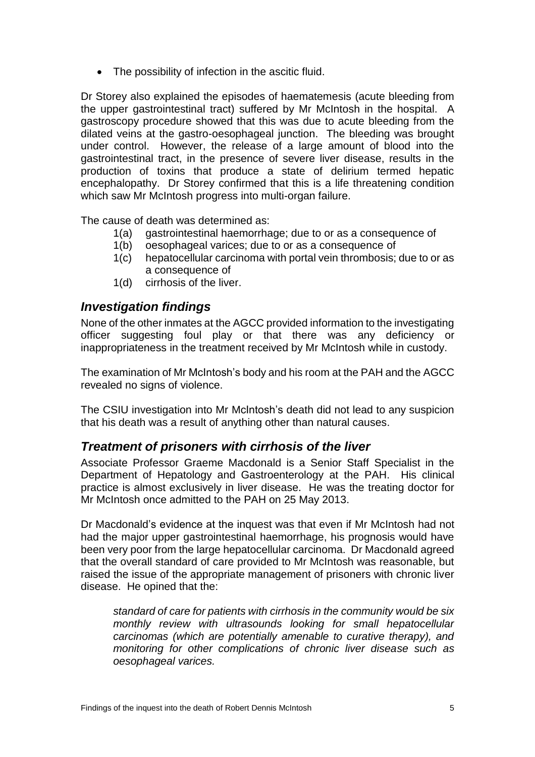• The possibility of infection in the ascitic fluid.

Dr Storey also explained the episodes of haematemesis (acute bleeding from the upper gastrointestinal tract) suffered by Mr McIntosh in the hospital. A gastroscopy procedure showed that this was due to acute bleeding from the dilated veins at the gastro-oesophageal junction. The bleeding was brought under control. However, the release of a large amount of blood into the gastrointestinal tract, in the presence of severe liver disease, results in the production of toxins that produce a state of delirium termed hepatic encephalopathy. Dr Storey confirmed that this is a life threatening condition which saw Mr McIntosh progress into multi-organ failure.

The cause of death was determined as:

- 1(a) gastrointestinal haemorrhage; due to or as a consequence of
- 1(b) oesophageal varices; due to or as a consequence of
- 1(c) hepatocellular carcinoma with portal vein thrombosis; due to or as a consequence of
- 1(d) cirrhosis of the liver.

#### <span id="page-6-0"></span>*Investigation findings*

None of the other inmates at the AGCC provided information to the investigating officer suggesting foul play or that there was any deficiency or inappropriateness in the treatment received by Mr McIntosh while in custody.

The examination of Mr McIntosh's body and his room at the PAH and the AGCC revealed no signs of violence.

The CSIU investigation into Mr McIntosh's death did not lead to any suspicion that his death was a result of anything other than natural causes.

#### <span id="page-6-1"></span>*Treatment of prisoners with cirrhosis of the liver*

Associate Professor Graeme Macdonald is a Senior Staff Specialist in the Department of Hepatology and Gastroenterology at the PAH. His clinical practice is almost exclusively in liver disease. He was the treating doctor for Mr McIntosh once admitted to the PAH on 25 May 2013.

Dr Macdonald's evidence at the inquest was that even if Mr McIntosh had not had the major upper gastrointestinal haemorrhage, his prognosis would have been very poor from the large hepatocellular carcinoma. Dr Macdonald agreed that the overall standard of care provided to Mr McIntosh was reasonable, but raised the issue of the appropriate management of prisoners with chronic liver disease. He opined that the:

*standard of care for patients with cirrhosis in the community would be six monthly review with ultrasounds looking for small hepatocellular carcinomas (which are potentially amenable to curative therapy), and monitoring for other complications of chronic liver disease such as oesophageal varices.*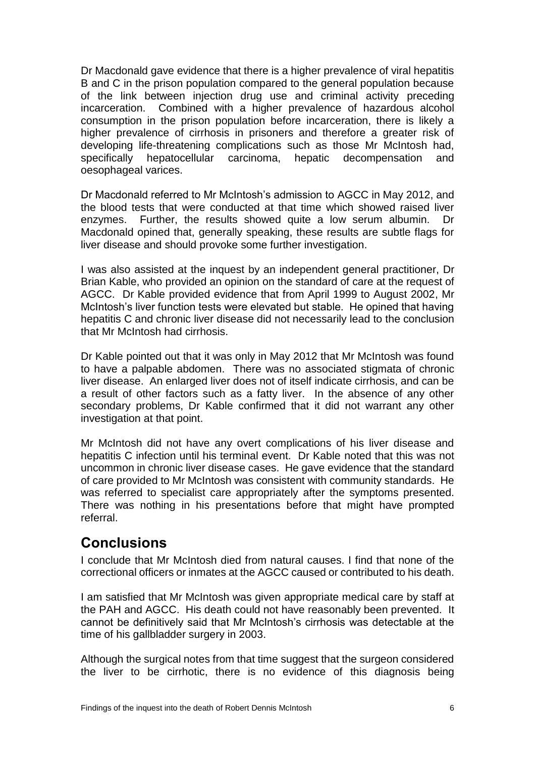Dr Macdonald gave evidence that there is a higher prevalence of viral hepatitis B and C in the prison population compared to the general population because of the link between injection drug use and criminal activity preceding incarceration. Combined with a higher prevalence of hazardous alcohol consumption in the prison population before incarceration, there is likely a higher prevalence of cirrhosis in prisoners and therefore a greater risk of developing life-threatening complications such as those Mr McIntosh had, specifically hepatocellular carcinoma, hepatic decompensation and hepatocellular carcinoma, hepatic decompensation and oesophageal varices.

Dr Macdonald referred to Mr McIntosh's admission to AGCC in May 2012, and the blood tests that were conducted at that time which showed raised liver enzymes. Further, the results showed quite a low serum albumin. Dr Macdonald opined that, generally speaking, these results are subtle flags for liver disease and should provoke some further investigation.

I was also assisted at the inquest by an independent general practitioner, Dr Brian Kable, who provided an opinion on the standard of care at the request of AGCC. Dr Kable provided evidence that from April 1999 to August 2002, Mr McIntosh's liver function tests were elevated but stable. He opined that having hepatitis C and chronic liver disease did not necessarily lead to the conclusion that Mr McIntosh had cirrhosis.

Dr Kable pointed out that it was only in May 2012 that Mr McIntosh was found to have a palpable abdomen. There was no associated stigmata of chronic liver disease. An enlarged liver does not of itself indicate cirrhosis, and can be a result of other factors such as a fatty liver. In the absence of any other secondary problems, Dr Kable confirmed that it did not warrant any other investigation at that point.

Mr McIntosh did not have any overt complications of his liver disease and hepatitis C infection until his terminal event. Dr Kable noted that this was not uncommon in chronic liver disease cases. He gave evidence that the standard of care provided to Mr McIntosh was consistent with community standards. He was referred to specialist care appropriately after the symptoms presented. There was nothing in his presentations before that might have prompted referral.

### <span id="page-7-0"></span>**Conclusions**

I conclude that Mr McIntosh died from natural causes. I find that none of the correctional officers or inmates at the AGCC caused or contributed to his death.

I am satisfied that Mr McIntosh was given appropriate medical care by staff at the PAH and AGCC. His death could not have reasonably been prevented. It cannot be definitively said that Mr McIntosh's cirrhosis was detectable at the time of his gallbladder surgery in 2003.

Although the surgical notes from that time suggest that the surgeon considered the liver to be cirrhotic, there is no evidence of this diagnosis being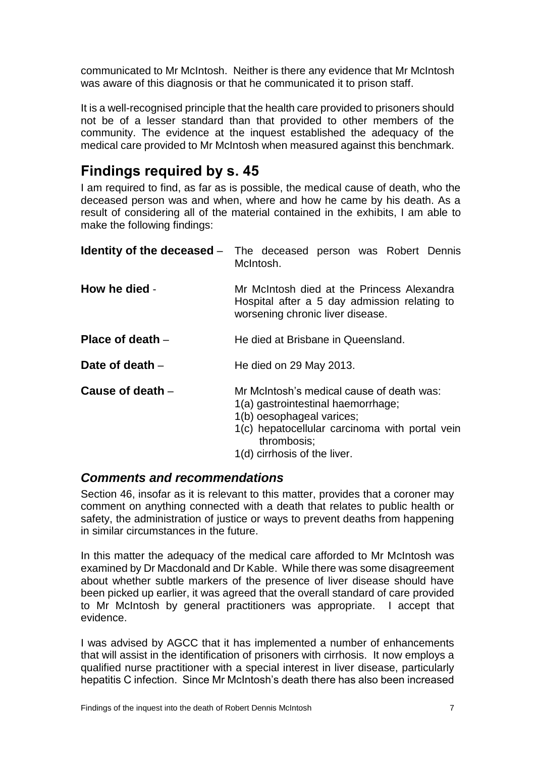communicated to Mr McIntosh. Neither is there any evidence that Mr McIntosh was aware of this diagnosis or that he communicated it to prison staff.

It is a well-recognised principle that the health care provided to prisoners should not be of a lesser standard than that provided to other members of the community. The evidence at the inquest established the adequacy of the medical care provided to Mr McIntosh when measured against this benchmark.

### <span id="page-8-0"></span>**Findings required by s. 45**

I am required to find, as far as is possible, the medical cause of death, who the deceased person was and when, where and how he came by his death. As a result of considering all of the material contained in the exhibits, I am able to make the following findings:

<span id="page-8-3"></span><span id="page-8-2"></span><span id="page-8-1"></span>

|                    | <b>Identity of the deceased</b> – The deceased person was Robert Dennis<br>McIntosh.                                                                                                                          |
|--------------------|---------------------------------------------------------------------------------------------------------------------------------------------------------------------------------------------------------------|
| How he died -      | Mr McIntosh died at the Princess Alexandra<br>Hospital after a 5 day admission relating to<br>worsening chronic liver disease.                                                                                |
| Place of death $-$ | He died at Brisbane in Queensland.                                                                                                                                                                            |
| Date of death -    | He died on 29 May 2013.                                                                                                                                                                                       |
| Cause of death -   | Mr McIntosh's medical cause of death was:<br>1(a) gastrointestinal haemorrhage;<br>1(b) oesophageal varices;<br>1(c) hepatocellular carcinoma with portal vein<br>thrombosis;<br>1(d) cirrhosis of the liver. |

#### <span id="page-8-6"></span><span id="page-8-5"></span><span id="page-8-4"></span>*Comments and recommendations*

Section 46, insofar as it is relevant to this matter, provides that a coroner may comment on anything connected with a death that relates to public health or safety, the administration of justice or ways to prevent deaths from happening in similar circumstances in the future.

In this matter the adequacy of the medical care afforded to Mr McIntosh was examined by Dr Macdonald and Dr Kable. While there was some disagreement about whether subtle markers of the presence of liver disease should have been picked up earlier, it was agreed that the overall standard of care provided to Mr McIntosh by general practitioners was appropriate. I accept that evidence.

I was advised by AGCC that it has implemented a number of enhancements that will assist in the identification of prisoners with cirrhosis. It now employs a qualified nurse practitioner with a special interest in liver disease, particularly hepatitis C infection. Since Mr McIntosh's death there has also been increased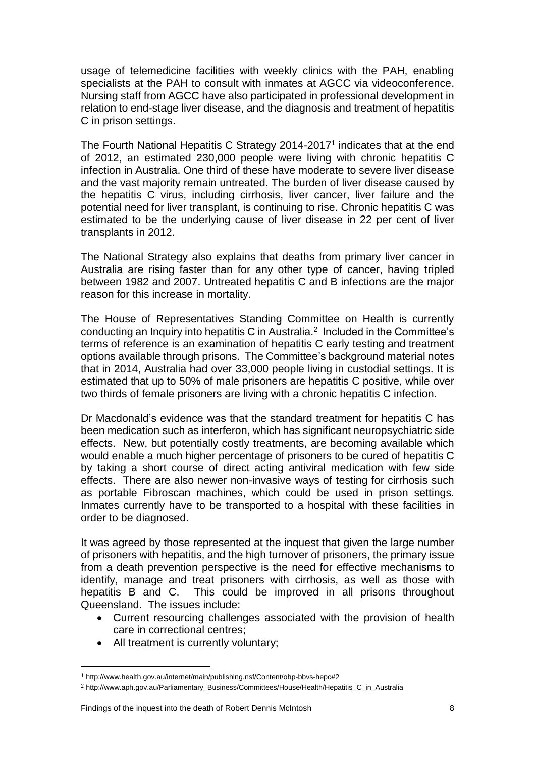usage of telemedicine facilities with weekly clinics with the PAH, enabling specialists at the PAH to consult with inmates at AGCC via videoconference. Nursing staff from AGCC have also participated in professional development in relation to end-stage liver disease, and the diagnosis and treatment of hepatitis C in prison settings.

The Fourth National Hepatitis C Strategy 2014-2017<sup>1</sup> indicates that at the end of 2012, an estimated 230,000 people were living with chronic hepatitis C infection in Australia. One third of these have moderate to severe liver disease and the vast majority remain untreated. The burden of liver disease caused by the hepatitis C virus, including cirrhosis, liver cancer, liver failure and the potential need for liver transplant, is continuing to rise. Chronic hepatitis C was estimated to be the underlying cause of liver disease in 22 per cent of liver transplants in 2012.

The National Strategy also explains that deaths from primary liver cancer in Australia are rising faster than for any other type of cancer, having tripled between 1982 and 2007. Untreated hepatitis C and B infections are the major reason for this increase in mortality.

The House of Representatives Standing Committee on Health is currently conducting an Inquiry into hepatitis C in Australia.<sup>2</sup> Included in the Committee's terms of reference is an examination of hepatitis C early testing and treatment options available through prisons. The Committee's background material notes that in 2014, Australia had over 33,000 people living in custodial settings. It is estimated that up to 50% of male prisoners are hepatitis C positive, while over two thirds of female prisoners are living with a chronic hepatitis C infection.

Dr Macdonald's evidence was that the standard treatment for hepatitis C has been medication such as interferon, which has significant neuropsychiatric side effects. New, but potentially costly treatments, are becoming available which would enable a much higher percentage of prisoners to be cured of hepatitis C by taking a short course of direct acting antiviral medication with few side effects. There are also newer non-invasive ways of testing for cirrhosis such as portable Fibroscan machines, which could be used in prison settings. Inmates currently have to be transported to a hospital with these facilities in order to be diagnosed.

It was agreed by those represented at the inquest that given the large number of prisoners with hepatitis, and the high turnover of prisoners, the primary issue from a death prevention perspective is the need for effective mechanisms to identify, manage and treat prisoners with cirrhosis, as well as those with hepatitis B and C. This could be improved in all prisons throughout Queensland. The issues include:

- Current resourcing challenges associated with the provision of health care in correctional centres;
- All treatment is currently voluntary;

 $\overline{\phantom{a}}$ 

<sup>1</sup> http://www.health.gov.au/internet/main/publishing.nsf/Content/ohp-bbvs-hepc#2

<sup>2</sup> http://www.aph.gov.au/Parliamentary\_Business/Committees/House/Health/Hepatitis\_C\_in\_Australia